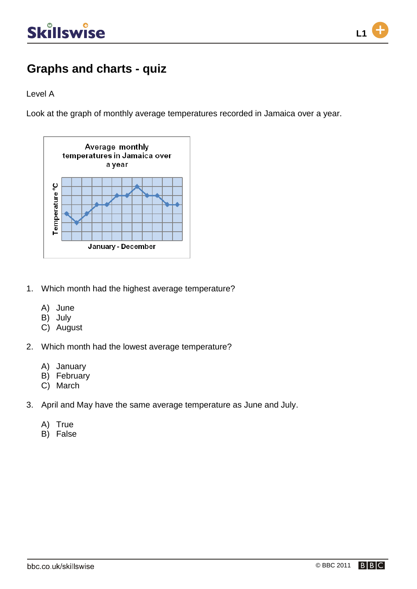

### **Graphs and charts - quiz**

Level A

Look at the graph of monthly average temperatures recorded in Jamaica over a year.



- 1. Which month had the highest average temperature?
	- A) June
	- B) July
	- C) August
- 2. Which month had the lowest average temperature?
	- A) January
	- B) February
	- C) March
- 3. April and May have the same average temperature as June and July.
	- A) True
	- B) False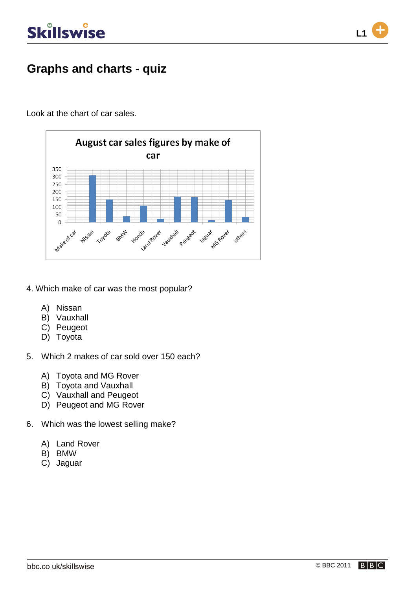

### **Graphs and charts - quiz**

Look at the chart of car sales.



- 4. Which make of car was the most popular?
	- A) Nissan
	- B) Vauxhall
	- C) Peugeot
	- D) Toyota
- 5. Which 2 makes of car sold over 150 each?
	- A) Toyota and MG Rover
	- B) Toyota and Vauxhall
	- C) Vauxhall and Peugeot
	- D) Peugeot and MG Rover
- 6. Which was the lowest selling make?
	- A) Land Rover
	- B) BMW
	- C) Jaguar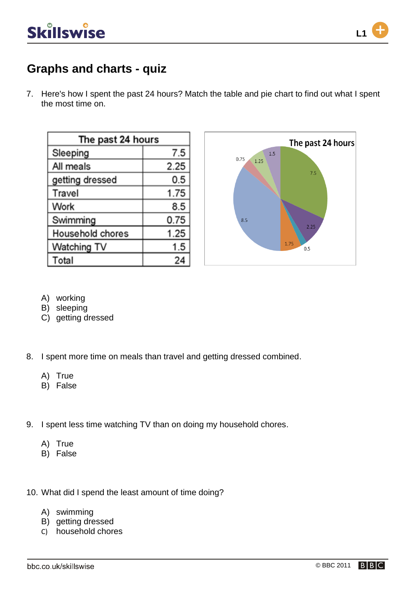

7. Here's how I spent the past 24 hours? Match the table and pie chart to find out what I spent the most time on.

| The past 24 hours |      |
|-------------------|------|
| Sleeping          | 7.5  |
| All meals         | 2.25 |
| getting dressed   | 0.5  |
| Travel            | 1.75 |
| Work              | 8.5  |
| Swimming          | 0.75 |
| Household chores  | 1.25 |
| Watching TV       | 1.5  |
| Total             | 24   |



- A) working
- B) sleeping
- C) getting dressed
- 8. I spent more time on meals than travel and getting dressed combined.
	- A) True
	- B) False
- 9. I spent less time watching TV than on doing my household chores.
	- A) True
	- B) False
- 10. What did I spend the least amount of time doing?
	- A) swimming
	- B) getting dressed
	- C) household chores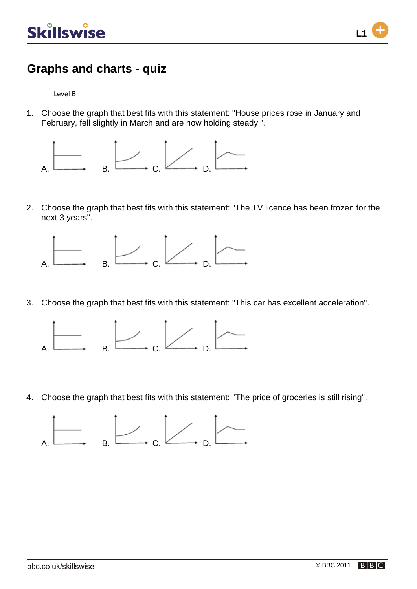

Level B

1. Choose the graph that best fits with this statement: "House prices rose in January and February, fell slightly in March and are now holding steady ".



2. Choose the graph that best fits with this statement: "The TV licence has been frozen for the next 3 years".



3. Choose the graph that best fits with this statement: "This car has excellent acceleration".



4. Choose the graph that best fits with this statement: "The price of groceries is still rising".

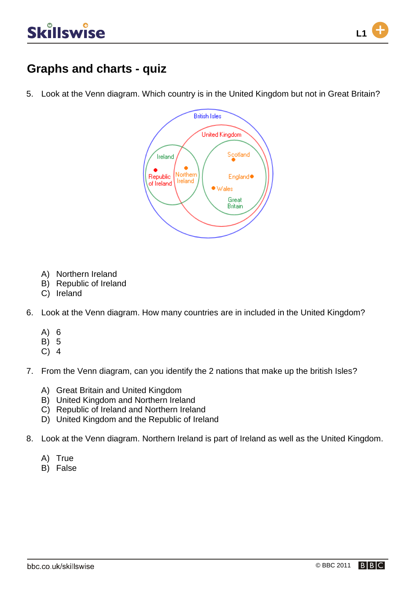

5. Look at the Venn diagram. Which country is in the United Kingdom but not in Great Britain?



- A) Northern Ireland
- B) Republic of Ireland
- C) Ireland
- 6. Look at the Venn diagram. How many countries are in included in the United Kingdom?
	- A) 6
	- B) 5
	- C) 4
- 7. From the Venn diagram, can you identify the 2 nations that make up the british Isles?
	- A) Great Britain and United Kingdom
	- B) United Kingdom and Northern Ireland
	- C) Republic of Ireland and Northern Ireland
	- D) United Kingdom and the Republic of Ireland
- 8. Look at the Venn diagram. Northern Ireland is part of Ireland as well as the United Kingdom.
	- A) True
	- B) False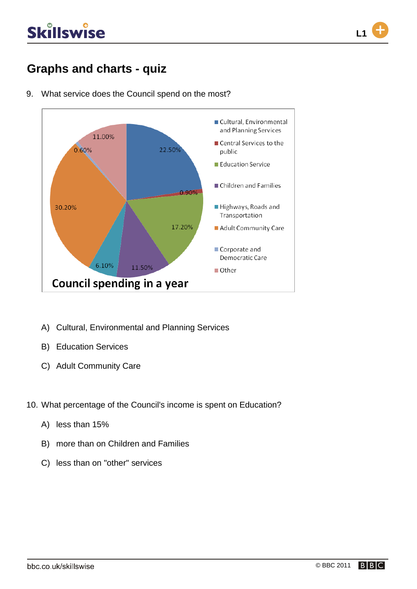### **Graphs and charts - quiz**



9. What service does the Council spend on the most?

- A) Cultural, Environmental and Planning Services
- B) Education Services
- C) Adult Community Care
- 10. What percentage of the Council's income is spent on Education?
	- A) less than 15%
	- B) more than on Children and Families
	- C) less than on "other" services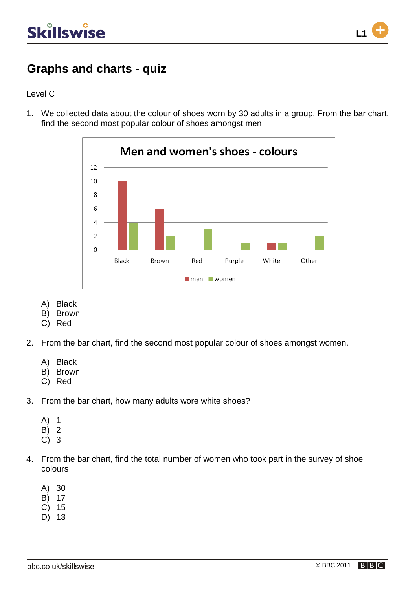

#### Level C

1. We collected data about the colour of shoes worn by 30 adults in a group. From the bar chart, find the second most popular colour of shoes amongst men



- A) Black
- B) Brown
- C) Red
- 2. From the bar chart, find the second most popular colour of shoes amongst women.
	- A) Black
	- B) Brown
	- C) Red
- 3. From the bar chart, how many adults wore white shoes?
	- A) 1
	- B) 2
	- C) 3
- 4. From the bar chart, find the total number of women who took part in the survey of shoe colours
	- A) 30
	- B) 17
	- C) 15
	- D) 13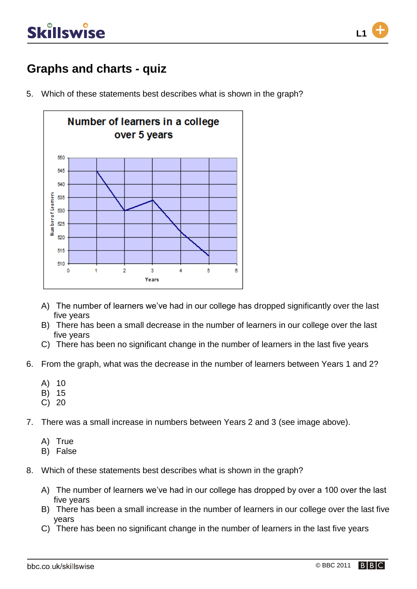

### **Graphs and charts - quiz**

5. Which of these statements best describes what is shown in the graph?



- A) The number of learners we've had in our college has dropped significantly over the last five years
- B) There has been a small decrease in the number of learners in our college over the last five years
- C) There has been no significant change in the number of learners in the last five years
- 6. From the graph, what was the decrease in the number of learners between Years 1 and 2?
	- A) 10
	- B) 15
	- C) 20
- 7. There was a small increase in numbers between Years 2 and 3 (see image above).
	- A) True
	- B) False
- 8. Which of these statements best describes what is shown in the graph?
	- A) The number of learners we've had in our college has dropped by over a 100 over the last five years
	- B) There has been a small increase in the number of learners in our college over the last five years
	- C) There has been no significant change in the number of learners in the last five years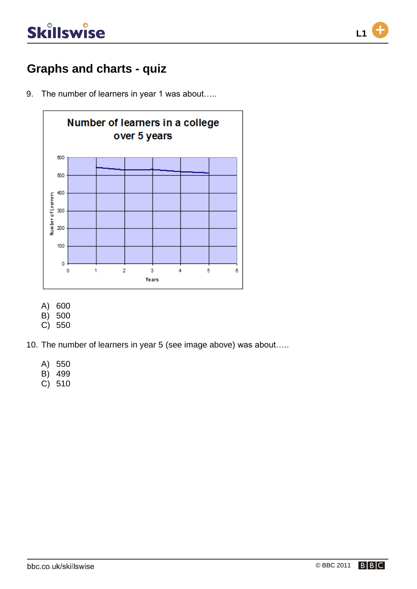

#### **Graphs and charts - quiz**

9. The number of learners in year 1 was about.....



- A) 600
- B) 500
- C) 550
- 10. The number of learners in year 5 (see image above) was about…..
	- A) 550
	- B) 499
	- C) 510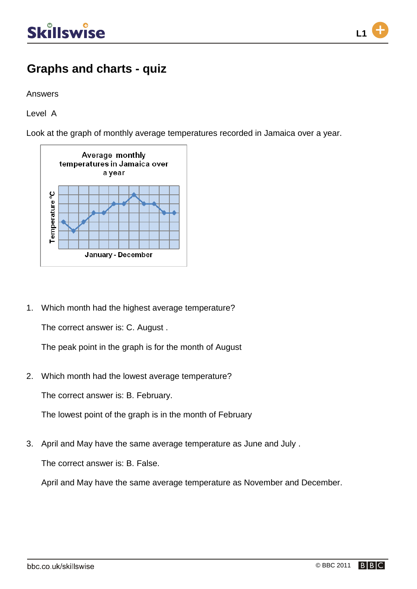

Answers

Level A

Look at the graph of monthly average temperatures recorded in Jamaica over a year.



1. Which month had the highest average temperature?

The correct answer is: C. August .

The peak point in the graph is for the month of August

2. Which month had the lowest average temperature?

The correct answer is: B. February.

The lowest point of the graph is in the month of February

3. April and May have the same average temperature as June and July .

The correct answer is: B. False.

April and May have the same average temperature as November and December.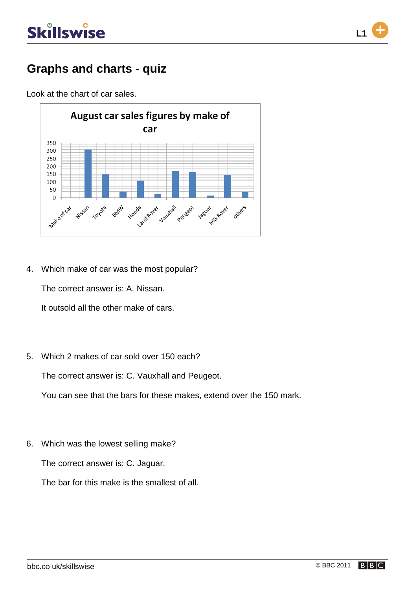

### **Graphs and charts - quiz**

Look at the chart of car sales.



4. Which make of car was the most popular?

The correct answer is: A. Nissan.

It outsold all the other make of cars.

5. Which 2 makes of car sold over 150 each?

The correct answer is: C. Vauxhall and Peugeot.

You can see that the bars for these makes, extend over the 150 mark.

6. Which was the lowest selling make?

The correct answer is: C. Jaguar.

The bar for this make is the smallest of all.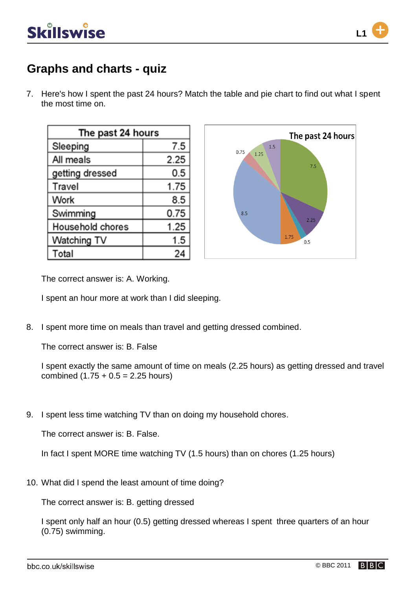

7. Here's how I spent the past 24 hours? Match the table and pie chart to find out what I spent the most time on.

| The past 24 hours |      |
|-------------------|------|
| Sleeping          | 7.5  |
| All meals         | 2.25 |
| getting dressed   | 0.5  |
| Travel            | 1.75 |
| Work              | 8.5  |
| Swimming          | 0.75 |
| Household chores  | 1.25 |
| Watching TV       | 1.5  |
| Total             | 24   |



The correct answer is: A. Working.

I spent an hour more at work than I did sleeping.

8. I spent more time on meals than travel and getting dressed combined.

The correct answer is: B. False

I spent exactly the same amount of time on meals (2.25 hours) as getting dressed and travel combined  $(1.75 + 0.5 = 2.25$  hours)

9. I spent less time watching TV than on doing my household chores.

The correct answer is: B. False.

In fact I spent MORE time watching TV (1.5 hours) than on chores (1.25 hours)

10. What did I spend the least amount of time doing?

The correct answer is: B. getting dressed

I spent only half an hour (0.5) getting dressed whereas I spent three quarters of an hour (0.75) swimming.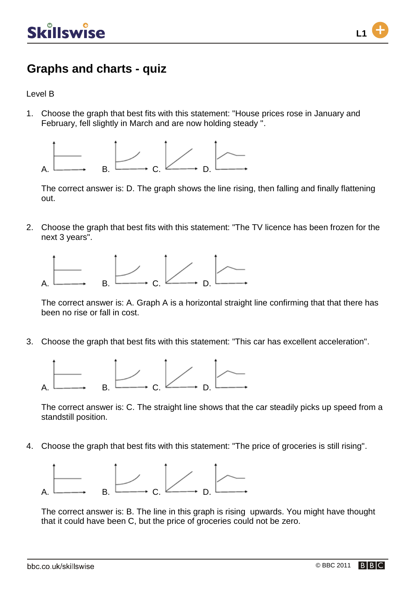

Level B

1. Choose the graph that best fits with this statement: "House prices rose in January and February, fell slightly in March and are now holding steady ".



The correct answer is: D. The graph shows the line rising, then falling and finally flattening out.

2. Choose the graph that best fits with this statement: "The TV licence has been frozen for the next 3 years".



The correct answer is: A. Graph A is a horizontal straight line confirming that that there has been no rise or fall in cost.

3. Choose the graph that best fits with this statement: "This car has excellent acceleration".



The correct answer is: C. The straight line shows that the car steadily picks up speed from a standstill position.

4. Choose the graph that best fits with this statement: "The price of groceries is still rising".



The correct answer is: B. The line in this graph is rising upwards. You might have thought that it could have been C, but the price of groceries could not be zero.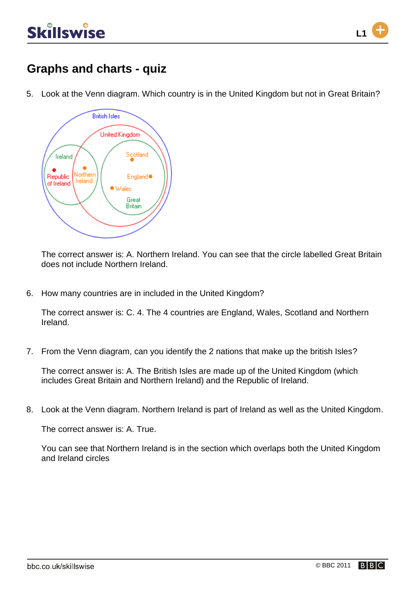

5. Look at the Venn diagram. Which country is in the United Kingdom but not in Great Britain?



The correct answer is: A. Northern Ireland. You can see that the circle labelled Great Britain does not include Northern Ireland.

6. How many countries are in included in the United Kingdom?

The correct answer is: C. 4. The 4 countries are England, Wales, Scotland and Northern Ireland.

7. From the Venn diagram, can you identify the 2 nations that make up the british Isles?

The correct answer is: A. The British Isles are made up of the United Kingdom (which includes Great Britain and Northern Ireland) and the Republic of Ireland.

8. Look at the Venn diagram. Northern Ireland is part of Ireland as well as the United Kingdom.

The correct answer is: A. True.

You can see that Northern Ireland is in the section which overlaps both the United Kingdom and Ireland circles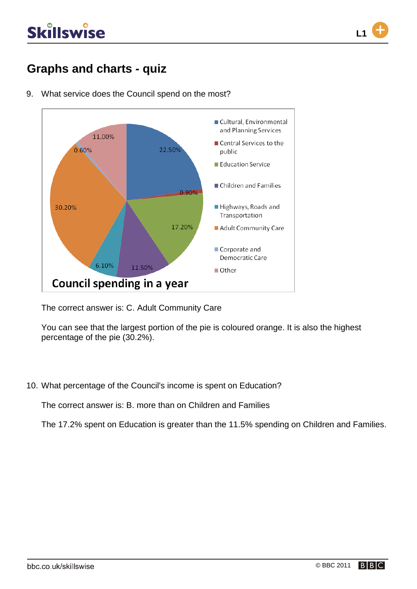### **Graphs and charts - quiz**



9. What service does the Council spend on the most?

The correct answer is: C. Adult Community Care

You can see that the largest portion of the pie is coloured orange. It is also the highest percentage of the pie (30.2%).

10. What percentage of the Council's income is spent on Education?

The correct answer is: B. more than on Children and Families

The 17.2% spent on Education is greater than the 11.5% spending on Children and Families.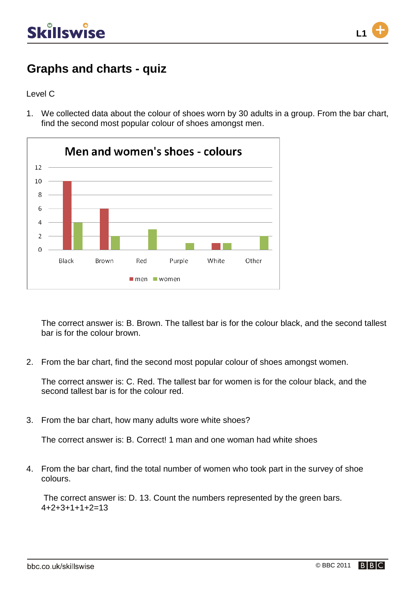

Level C

1. We collected data about the colour of shoes worn by 30 adults in a group. From the bar chart, find the second most popular colour of shoes amongst men.



The correct answer is: B. Brown. The tallest bar is for the colour black, and the second tallest bar is for the colour brown.

2. From the bar chart, find the second most popular colour of shoes amongst women.

The correct answer is: C. Red. The tallest bar for women is for the colour black, and the second tallest bar is for the colour red.

3. From the bar chart, how many adults wore white shoes?

The correct answer is: B. Correct! 1 man and one woman had white shoes

4. From the bar chart, find the total number of women who took part in the survey of shoe colours.

The correct answer is: D. 13. Count the numbers represented by the green bars.  $4+2+3+1+1+2=13$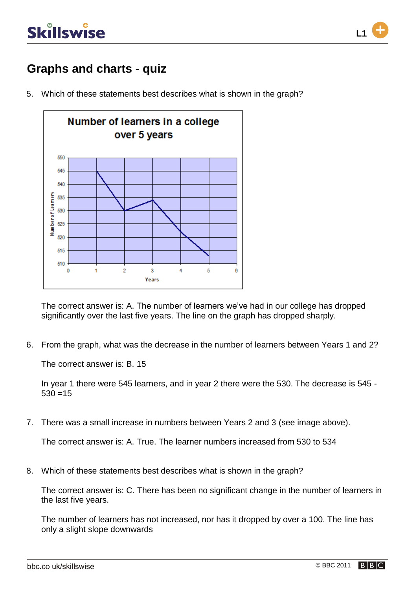

5. Which of these statements best describes what is shown in the graph?



The correct answer is: A. The number of learners we've had in our college has dropped significantly over the last five years. The line on the graph has dropped sharply.

6. From the graph, what was the decrease in the number of learners between Years 1 and 2?

The correct answer is: B. 15

In year 1 there were 545 learners, and in year 2 there were the 530. The decrease is 545 -  $530 = 15$ 

7. There was a small increase in numbers between Years 2 and 3 (see image above).

The correct answer is: A. True. The learner numbers increased from 530 to 534

8. Which of these statements best describes what is shown in the graph?

The correct answer is: C. There has been no significant change in the number of learners in the last five years.

The number of learners has not increased, nor has it dropped by over a 100. The line has only a slight slope downwards